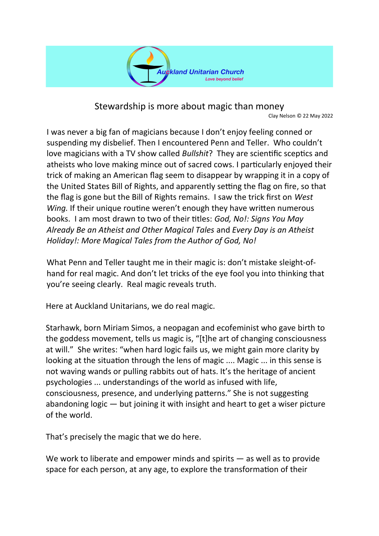

Stewardship is more about magic than money Clay Nelson © 22 May 2022

I was never a big fan of magicians because I don't enjoy feeling conned or suspending my disbelief. Then I encountered Penn and Teller. Who couldn't love magicians with a TV show called *Bullshit*? They are scientific sceptics and atheists who love making mince out of sacred cows. I particularly enjoyed their trick of making an American flag seem to disappear by wrapping it in a copy of the United States Bill of Rights, and apparently setting the flag on fire, so that the flag is gone but the Bill of Rights remains. I saw the trick first on *West Wing.* If their unique routine weren't enough they have written numerous books. I am most drawn to two of their titles: *God, No!: Signs You May Already Be an Atheist and Other Magical Tales* and *Every Day is an Atheist Holiday!: More Magical Tales from the Author of God, No!*

What Penn and Teller taught me in their magic is: don't mistake sleight-ofhand for real magic. And don't let tricks of the eye fool you into thinking that you're seeing clearly. Real magic reveals truth.

Here at Auckland Unitarians, we do real magic.

Starhawk, born Miriam Simos, a neopagan and ecofeminist who gave birth to the goddess movement, tells us magic is, "[t]he art of changing consciousness at will." She writes: "when hard logic fails us, we might gain more clarity by looking at the situation through the lens of magic .... Magic ... in this sense is not waving wands or pulling rabbits out of hats. It's the heritage of ancient psychologies ... understandings of the world as infused with life, consciousness, presence, and underlying patterns." She is not suggesting abandoning logic — but joining it with insight and heart to get a wiser picture of the world.

That's precisely the magic that we do here.

We work to liberate and empower minds and spirits — as well as to provide space for each person, at any age, to explore the transformation of their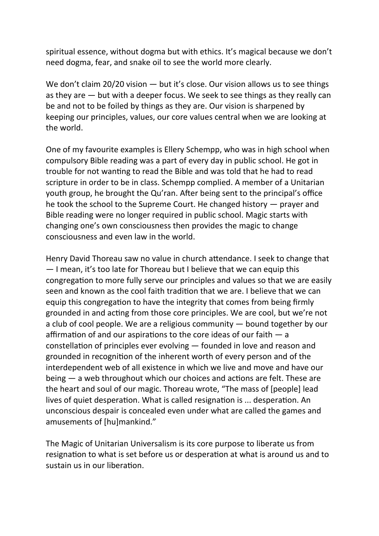spiritual essence, without dogma but with ethics. It's magical because we don't need dogma, fear, and snake oil to see the world more clearly.

We don't claim 20/20 vision — but it's close. Our vision allows us to see things as they are — but with a deeper focus. We seek to see things as they really can be and not to be foiled by things as they are. Our vision is sharpened by keeping our principles, values, our core values central when we are looking at the world.

One of my favourite examples is Ellery Schempp, who was in high school when compulsory Bible reading was a part of every day in public school. He got in trouble for not wanting to read the Bible and was told that he had to read scripture in order to be in class. Schempp complied. A member of a Unitarian youth group, he brought the Qu'ran. After being sent to the principal's office he took the school to the Supreme Court. He changed history — prayer and Bible reading were no longer required in public school. Magic starts with changing one's own consciousness then provides the magic to change consciousness and even law in the world.

Henry David Thoreau saw no value in church attendance. I seek to change that — I mean, it's too late for Thoreau but I believe that we can equip this congregation to more fully serve our principles and values so that we are easily seen and known as the cool faith tradition that we are. I believe that we can equip this congregation to have the integrity that comes from being firmly grounded in and acting from those core principles. We are cool, but we're not a club of cool people. We are a religious community — bound together by our affirmation of and our aspirations to the core ideas of our faith — a constellation of principles ever evolving — founded in love and reason and grounded in recognition of the inherent worth of every person and of the interdependent web of all existence in which we live and move and have our being — a web throughout which our choices and actions are felt. These are the heart and soul of our magic. Thoreau wrote, "The mass of [people] lead lives of quiet desperation. What is called resignation is ... desperation. An unconscious despair is concealed even under what are called the games and amusements of [hu]mankind."

The Magic of Unitarian Universalism is its core purpose to liberate us from resignation to what is set before us or desperation at what is around us and to sustain us in our liberation.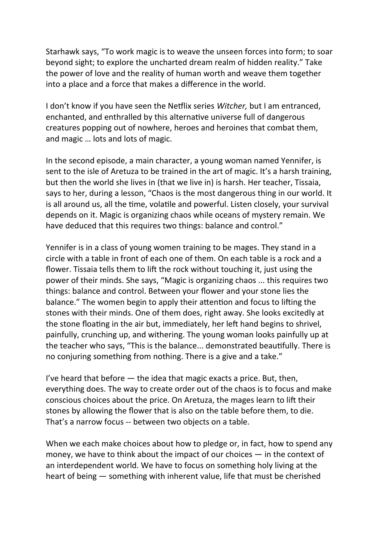Starhawk says, "To work magic is to weave the unseen forces into form; to soar beyond sight; to explore the uncharted dream realm of hidden reality." Take the power of love and the reality of human worth and weave them together into a place and a force that makes a difference in the world.

I don't know if you have seen the Netflix series *Witcher,* but I am entranced, enchanted, and enthralled by this alternative universe full of dangerous creatures popping out of nowhere, heroes and heroines that combat them, and magic … lots and lots of magic.

In the second episode, a main character, a young woman named Yennifer, is sent to the isle of Aretuza to be trained in the art of magic. It's a harsh training, but then the world she lives in (that we live in) is harsh. Her teacher, Tissaia, says to her, during a lesson, "Chaos is the most dangerous thing in our world. It is all around us, all the time, volatile and powerful. Listen closely, your survival depends on it. Magic is organizing chaos while oceans of mystery remain. We have deduced that this requires two things: balance and control."

Yennifer is in a class of young women training to be mages. They stand in a circle with a table in front of each one of them. On each table is a rock and a flower. Tissaia tells them to lift the rock without touching it, just using the power of their minds. She says, "Magic is organizing chaos ... this requires two things: balance and control. Between your flower and your stone lies the balance." The women begin to apply their attention and focus to lifting the stones with their minds. One of them does, right away. She looks excitedly at the stone floating in the air but, immediately, her left hand begins to shrivel, painfully, crunching up, and withering. The young woman looks painfully up at the teacher who says, "This is the balance... demonstrated beautifully. There is no conjuring something from nothing. There is a give and a take."

I've heard that before — the idea that magic exacts a price. But, then, everything does. The way to create order out of the chaos is to focus and make conscious choices about the price. On Aretuza, the mages learn to lift their stones by allowing the flower that is also on the table before them, to die. That's a narrow focus -- between two objects on a table.

When we each make choices about how to pledge or, in fact, how to spend any money, we have to think about the impact of our choices — in the context of an interdependent world. We have to focus on something holy living at the heart of being — something with inherent value, life that must be cherished